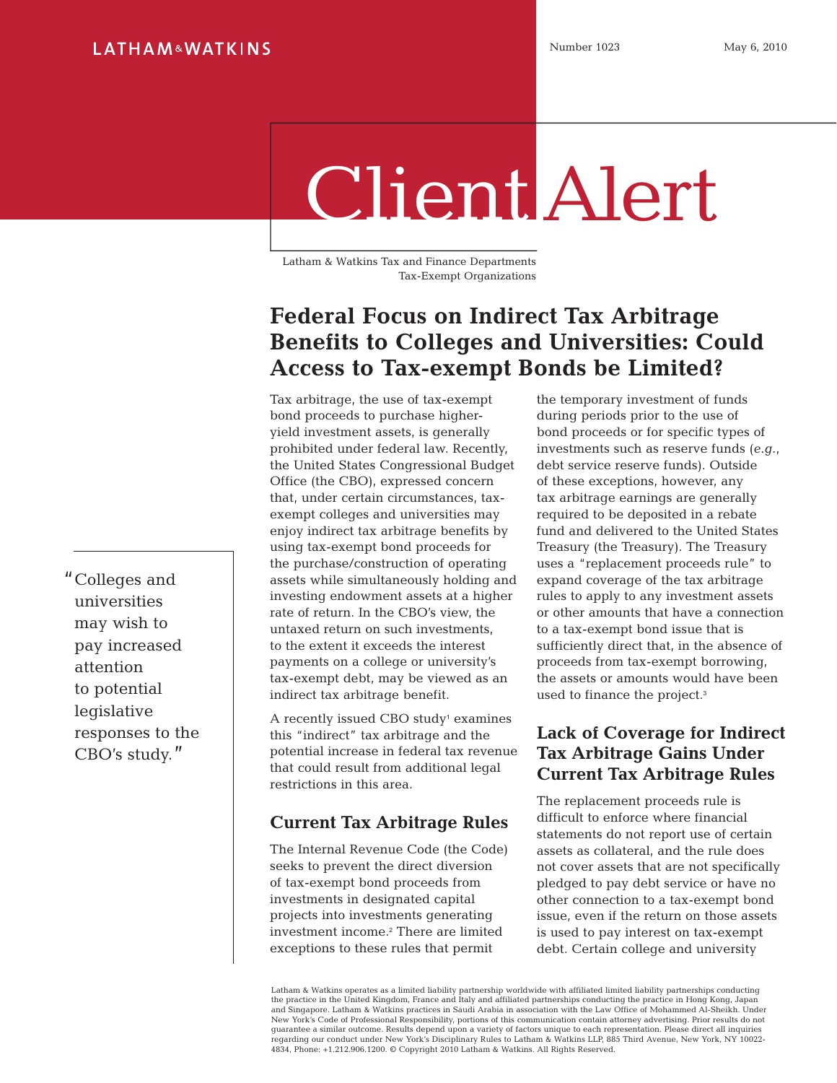# Client Alert

Latham & Watkins Tax and Finance Departments Tax-Exempt Organizations

## **Federal Focus on Indirect Tax Arbitrage Benefits to Colleges and Universities: Could Access to Tax-exempt Bonds be Limited?**

Tax arbitrage, the use of tax-exempt bond proceeds to purchase higheryield investment assets, is generally prohibited under federal law. Recently, the United States Congressional Budget Office (the CBO), expressed concern that, under certain circumstances, taxexempt colleges and universities may enjoy indirect tax arbitrage benefits by using tax-exempt bond proceeds for the purchase/construction of operating assets while simultaneously holding and investing endowment assets at a higher rate of return. In the CBO's view, the untaxed return on such investments, to the extent it exceeds the interest payments on a college or university's tax-exempt debt, may be viewed as an indirect tax arbitrage benefit.

A recently issued CBO study<sup>1</sup> examines this "indirect" tax arbitrage and the potential increase in federal tax revenue that could result from additional legal restrictions in this area.

### **Current Tax Arbitrage Rules**

The Internal Revenue Code (the Code) seeks to prevent the direct diversion of tax-exempt bond proceeds from investments in designated capital projects into investments generating investment income.2 There are limited exceptions to these rules that permit

the temporary investment of funds during periods prior to the use of bond proceeds or for specific types of investments such as reserve funds (*e.g.*, debt service reserve funds). Outside of these exceptions, however, any tax arbitrage earnings are generally required to be deposited in a rebate fund and delivered to the United States Treasury (the Treasury). The Treasury uses a "replacement proceeds rule" to expand coverage of the tax arbitrage rules to apply to any investment assets or other amounts that have a connection to a tax-exempt bond issue that is sufficiently direct that, in the absence of proceeds from tax-exempt borrowing, the assets or amounts would have been used to finance the project.<sup>3</sup>

## **Lack of Coverage for Indirect Tax Arbitrage Gains Under Current Tax Arbitrage Rules**

The replacement proceeds rule is difficult to enforce where financial statements do not report use of certain assets as collateral, and the rule does not cover assets that are not specifically pledged to pay debt service or have no other connection to a tax-exempt bond issue, even if the return on those assets is used to pay interest on tax-exempt debt. Certain college and university

Latham & Watkins operates as a limited liability partnership worldwide with affiliated limited liability partnerships conducting the practice in the United Kingdom, France and Italy and affiliated partnerships conducting the practice in Hong Kong, Japan and Singapore. Latham & Watkins practices in Saudi Arabia in association with the Law Office of Mohammed Al-Sheikh. Under New York's Code of Professional Responsibility, portions of this communication contain attorney advertising. Prior results do not guarantee a similar outcome. Results depend upon a variety of factors unique to each representation. Please direct all inquiries regarding our conduct under New York's Disciplinary Rules to Latham & Watkins LLP, 885 Third Avenue, New York, NY 10022- 4834, Phone: +1.212.906.1200. © Copyright 2010 Latham & Watkins. All Rights Reserved.

"Colleges and universities may wish to pay increased attention to potential legislative responses to the CBO's study."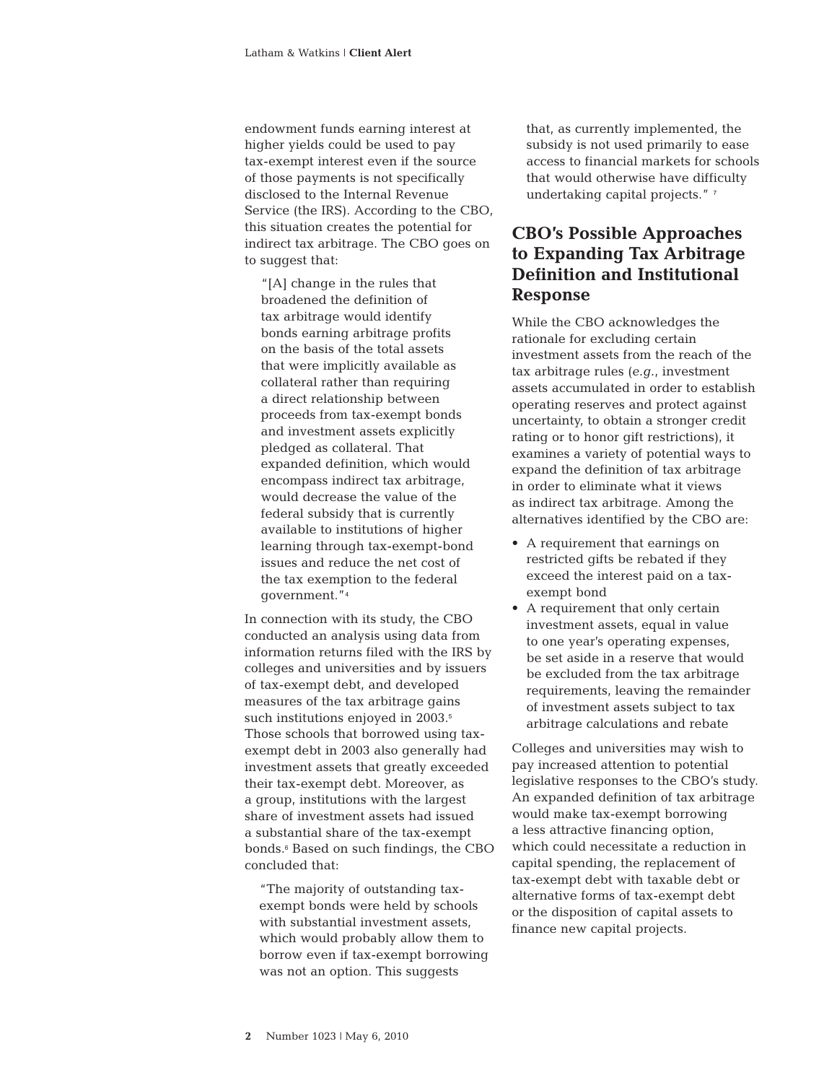endowment funds earning interest at higher yields could be used to pay tax-exempt interest even if the source of those payments is not specifically disclosed to the Internal Revenue Service (the IRS). According to the CBO, this situation creates the potential for indirect tax arbitrage. The CBO goes on to suggest that:

"[A] change in the rules that broadened the definition of tax arbitrage would identify bonds earning arbitrage profits on the basis of the total assets that were implicitly available as collateral rather than requiring a direct relationship between proceeds from tax-exempt bonds and investment assets explicitly pledged as collateral. That expanded definition, which would encompass indirect tax arbitrage, would decrease the value of the federal subsidy that is currently available to institutions of higher learning through tax-exempt-bond issues and reduce the net cost of the tax exemption to the federal government."<sup>4</sup>

In connection with its study, the CBO conducted an analysis using data from information returns filed with the IRS by colleges and universities and by issuers of tax-exempt debt, and developed measures of the tax arbitrage gains such institutions enjoyed in 2003.<sup>5</sup> Those schools that borrowed using taxexempt debt in 2003 also generally had investment assets that greatly exceeded their tax-exempt debt. Moreover, as a group, institutions with the largest share of investment assets had issued a substantial share of the tax-exempt bonds.6 Based on such findings, the CBO concluded that:

"The majority of outstanding taxexempt bonds were held by schools with substantial investment assets. which would probably allow them to borrow even if tax-exempt borrowing was not an option. This suggests

that, as currently implemented, the subsidy is not used primarily to ease access to financial markets for schools that would otherwise have difficulty undertaking capital projects." 7

## **CBO's Possible Approaches to Expanding Tax Arbitrage Definition and Institutional Response**

While the CBO acknowledges the rationale for excluding certain investment assets from the reach of the tax arbitrage rules (*e.g.*, investment assets accumulated in order to establish operating reserves and protect against uncertainty, to obtain a stronger credit rating or to honor gift restrictions), it examines a variety of potential ways to expand the definition of tax arbitrage in order to eliminate what it views as indirect tax arbitrage. Among the alternatives identified by the CBO are:

- A requirement that earnings on restricted gifts be rebated if they exceed the interest paid on a taxexempt bond
- A requirement that only certain investment assets, equal in value to one year's operating expenses, be set aside in a reserve that would be excluded from the tax arbitrage requirements, leaving the remainder of investment assets subject to tax arbitrage calculations and rebate

Colleges and universities may wish to pay increased attention to potential legislative responses to the CBO's study. An expanded definition of tax arbitrage would make tax-exempt borrowing a less attractive financing option, which could necessitate a reduction in capital spending, the replacement of tax-exempt debt with taxable debt or alternative forms of tax-exempt debt or the disposition of capital assets to finance new capital projects.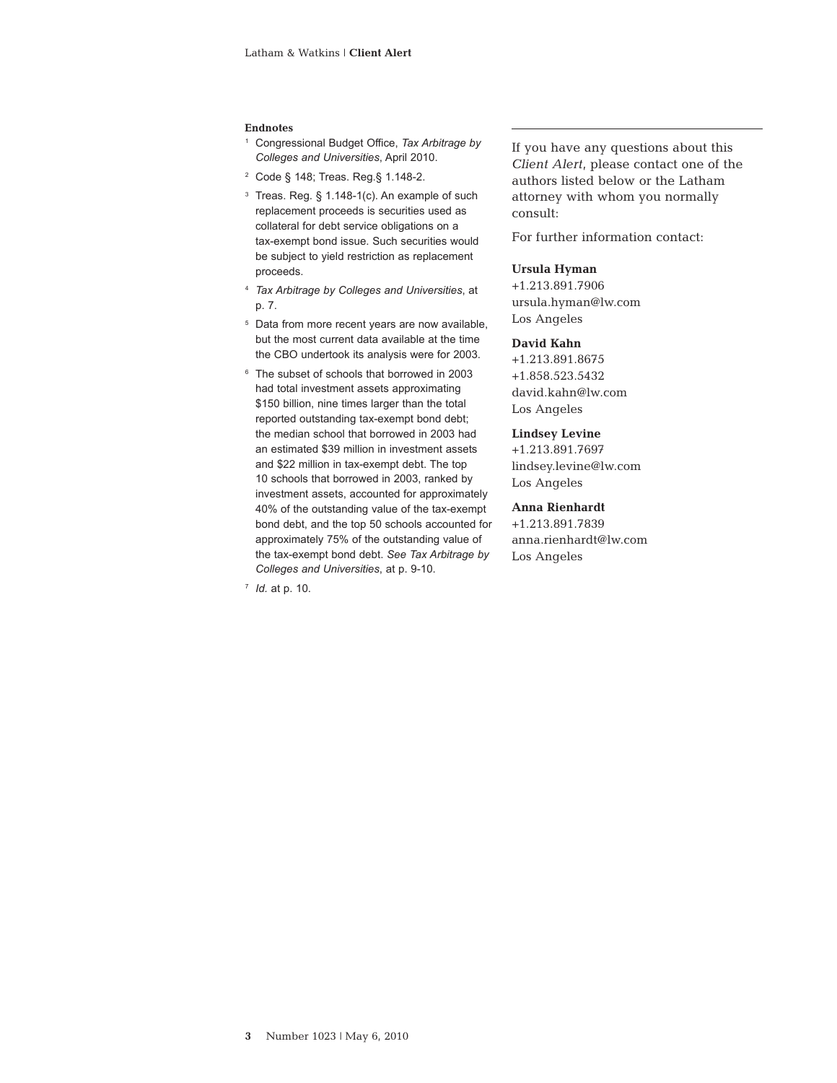#### **Endnotes**

- 1 Congressional Budget Office, *Tax Arbitrage by Colleges and Universities*, April 2010.
- 2 Code § 148; Treas. Reg.§ 1.148-2.
- $3$  Treas. Reg. § 1.148-1(c). An example of such replacement proceeds is securities used as collateral for debt service obligations on a tax-exempt bond issue. Such securities would be subject to yield restriction as replacement proceeds.
- <sup>4</sup> *Tax Arbitrage by Colleges and Universities*, at p. 7.
- <sup>5</sup> Data from more recent years are now available, but the most current data available at the time the CBO undertook its analysis were for 2003.
- <sup>6</sup> The subset of schools that borrowed in 2003 had total investment assets approximating \$150 billion, nine times larger than the total reported outstanding tax-exempt bond debt; the median school that borrowed in 2003 had an estimated \$39 million in investment assets and \$22 million in tax-exempt debt. The top 10 schools that borrowed in 2003, ranked by investment assets, accounted for approximately 40% of the outstanding value of the tax-exempt bond debt, and the top 50 schools accounted for approximately 75% of the outstanding value of the tax-exempt bond debt. *See Tax Arbitrage by Colleges and Universities*, at p. 9-10.

<sup>7</sup> *Id.* at p. 10.

If you have any questions about this *Client Alert*, please contact one of the authors listed below or the Latham attorney with whom you normally consult:

For further information contact:

#### **Ursula Hyman**

+1.213.891.7906 ursula.hyman@lw.com Los Angeles

#### **David Kahn**

+1.213.891.8675 +1.858.523.5432 david.kahn@lw.com Los Angeles

#### **Lindsey Levine**

+1.213.891.7697 lindsey.levine@lw.com Los Angeles

#### **Anna Rienhardt**

+1.213.891.7839 anna.rienhardt@lw.com Los Angeles